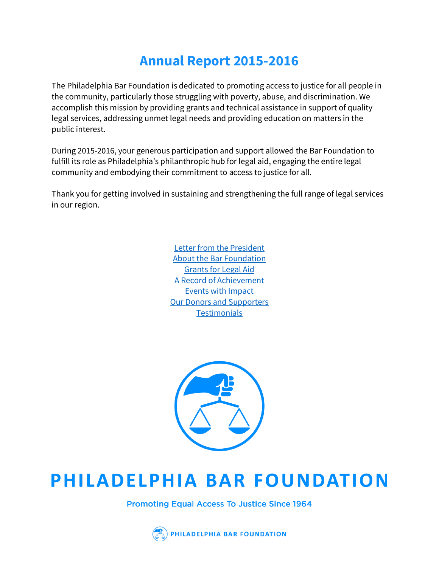# **Annual Report 2015-2016**

The Philadelphia Bar Foundation is dedicated to promoting access to justice for all people in the community, particularly those struggling with poverty, abuse, and discrimination. We accomplish this mission by providing grants and technical assistance in support of quality legal services, addressing unmet legal needs and providing education on matters in the public interest.

During 2015-2016, your generous participation and support allowed the Bar Foundation to fulfill its role as Philadelphia's philanthropic hub for legal aid, engaging the entire legal community and embodying their commitment to access to justice for all.

Thank you for getting involved in sustaining and strengthening the full range of legal services in our region.

> [Letter from the President](#page-0-0) [About the Bar Foundation](#page-3-0) [Grants for Legal Aid](#page-4-0) [A Record of Achievement](#page-8-0) [Events with Impact](#page-12-0) [Our Donors and Supporters](#page-18-0) **[Testimonials](#page-23-0)**

<span id="page-0-0"></span>

# PHILADELPHIA BAR FOUNDATION

**Promoting Equal Access To Justice Since 1964** 

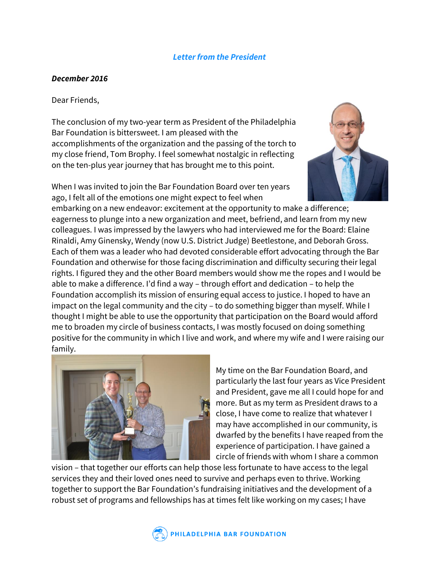# *Letter from the President*

# *December 2016*

### Dear Friends,

The conclusion of my two-year term as President of the Philadelphia Bar Foundation is bittersweet. I am pleased with the accomplishments of the organization and the passing of the torch to my close friend, Tom Brophy. I feel somewhat nostalgic in reflecting on the ten-plus year journey that has brought me to this point.

When I was invited to join the Bar Foundation Board over ten years ago, I felt all of the emotions one might expect to feel when



embarking on a new endeavor: excitement at the opportunity to make a difference; eagerness to plunge into a new organization and meet, befriend, and learn from my new colleagues. I was impressed by the lawyers who had interviewed me for the Board: Elaine Rinaldi, Amy Ginensky, Wendy (now U.S. District Judge) Beetlestone, and Deborah Gross. Each of them was a leader who had devoted considerable effort advocating through the Bar Foundation and otherwise for those facing discrimination and difficulty securing their legal rights. I figured they and the other Board members would show me the ropes and I would be able to make a difference. I'd find a way – through effort and dedication – to help the Foundation accomplish its mission of ensuring equal access to justice. I hoped to have an impact on the legal community and the city – to do something bigger than myself. While I thought I might be able to use the opportunity that participation on the Board would afford me to broaden my circle of business contacts, I was mostly focused on doing something positive for the community in which I live and work, and where my wife and I were raising our family.



My time on the Bar Foundation Board, and particularly the last four years as Vice President and President, gave me all I could hope for and more. But as my term as President draws to a close, I have come to realize that whatever I may have accomplished in our community, is dwarfed by the benefits I have reaped from the experience of participation. I have gained a circle of friends with whom I share a common

vision – that together our efforts can help those less fortunate to have access to the legal services they and their loved ones need to survive and perhaps even to thrive. Working together to support the Bar Foundation's fundraising initiatives and the development of a robust set of programs and fellowships has at times felt like working on my cases; I have

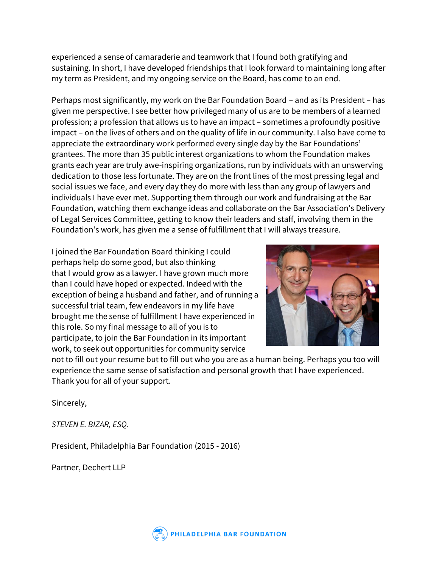experienced a sense of camaraderie and teamwork that I found both gratifying and sustaining. In short, I have developed friendships that I look forward to maintaining long after my term as President, and my ongoing service on the Board, has come to an end.

Perhaps most significantly, my work on the Bar Foundation Board – and as its President – has given me perspective. I see better how privileged many of us are to be members of a learned profession; a profession that allows us to have an impact – sometimes a profoundly positive impact – on the lives of others and on the quality of life in our community. I also have come to appreciate the extraordinary work performed every single day by the Bar Foundations' grantees. The more than 35 public interest organizations to whom the Foundation makes grants each year are truly awe-inspiring organizations, run by individuals with an unswerving dedication to those less fortunate. They are on the front lines of the most pressing legal and social issues we face, and every day they do more with less than any group of lawyers and individuals I have ever met. Supporting them through our work and fundraising at the Bar Foundation, watching them exchange ideas and collaborate on the Bar Association's Delivery of Legal Services Committee, getting to know their leaders and staff, involving them in the Foundation's work, has given me a sense of fulfillment that I will always treasure.

I joined the Bar Foundation Board thinking I could perhaps help do some good, but also thinking that I would grow as a lawyer. I have grown much more than I could have hoped or expected. Indeed with the exception of being a husband and father, and of running a successful trial team, few endeavors in my life have brought me the sense of fulfillment I have experienced in this role. So my final message to all of you is to participate, to join the Bar Foundation in its important work, to seek out opportunities for community service



not to fill out your resume but to fill out who you are as a human being. Perhaps you too will experience the same sense of satisfaction and personal growth that I have experienced. Thank you for all of your support.

Sincerely,

*STEVEN E. BIZAR, ESQ.*

President, Philadelphia Bar Foundation (2015 - 2016)

Partner, Dechert LLP

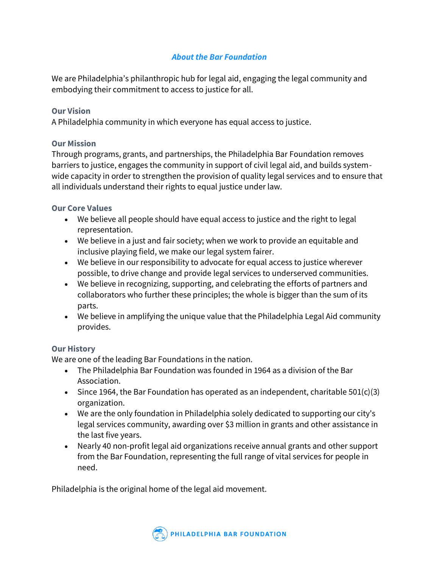# *About the Bar Foundation*

<span id="page-3-0"></span>We are Philadelphia's philanthropic hub for legal aid, engaging the legal community and embodying their commitment to access to justice for all.

# **Our Vision**

A Philadelphia community in which everyone has equal access to justice.

# **Our Mission**

Through programs, grants, and partnerships, the Philadelphia Bar Foundation removes barriers to justice, engages the community in support of civil legal aid, and builds systemwide capacity in order to strengthen the provision of quality legal services and to ensure that all individuals understand their rights to equal justice under law.

# **Our Core Values**

- We believe all people should have equal access to justice and the right to legal representation.
- We believe in a just and fair society; when we work to provide an equitable and inclusive playing field, we make our legal system fairer.
- We believe in our responsibility to advocate for equal access to justice wherever possible, to drive change and provide legal services to underserved communities.
- We believe in recognizing, supporting, and celebrating the efforts of partners and collaborators who further these principles; the whole is bigger than the sum of its parts.
- We believe in amplifying the unique value that the Philadelphia Legal Aid community provides.

# **Our History**

We are one of the leading Bar Foundations in the nation.

- The Philadelphia Bar Foundation was founded in 1964 as a division of the Bar Association.
- Since 1964, the Bar Foundation has operated as an independent, charitable  $501(c)(3)$ organization.
- We are the only foundation in Philadelphia solely dedicated to supporting our city's legal services community, awarding over \$3 million in grants and other assistance in the last five years.
- Nearly 40 non-profit legal aid organizations receive annual grants and other support from the Bar Foundation, representing the full range of vital services for people in need.

Philadelphia is the original home of the legal aid movement.

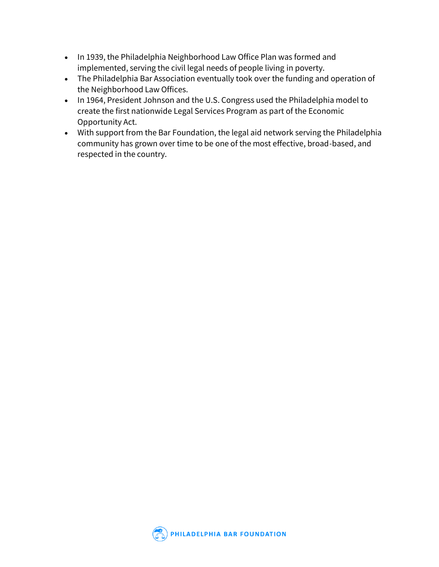- In 1939, the Philadelphia Neighborhood Law Office Plan was formed and implemented, serving the civil legal needs of people living in poverty.
- The Philadelphia Bar Association eventually took over the funding and operation of the Neighborhood Law Offices.
- In 1964, President Johnson and the U.S. Congress used the Philadelphia model to create the first nationwide Legal Services Program as part of the Economic Opportunity Act.
- <span id="page-4-0"></span>• With support from the Bar Foundation, the legal aid network serving the Philadelphia community has grown over time to be one of the most effective, broad-based, and respected in the country.

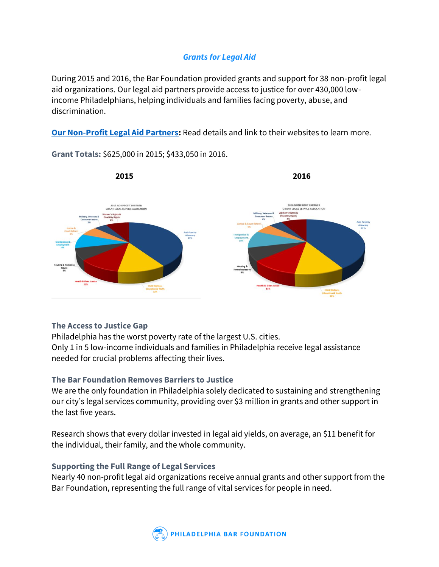# *Grants for Legal Aid*

During 2015 and 2016, the Bar Foundation provided grants and support for 38 non-profit legal aid organizations. Our legal aid partners provide access to justice for over 430,000 lowincome Philadelphians, helping individuals and families facing poverty, abuse, and discrimination.

**[Our Non-Profit Legal Aid Partners:](https://www.philabarfoundation.org/nonprofitpartners)** Read details and link to their websites to learn more.



**Grant Totals:** \$625,000 in 2015; \$433,050 in 2016.

# **The Access to Justice Gap**

Philadelphia has the worst poverty rate of the largest U.S. cities. Only 1 in 5 low-income individuals and families in Philadelphia receive legal assistance needed for crucial problems affecting their lives.

# **The Bar Foundation Removes Barriers to Justice**

We are the only foundation in Philadelphia solely dedicated to sustaining and strengthening our city's legal services community, providing over \$3 million in grants and other support in the last five years.

Research shows that every dollar invested in legal aid yields, on average, an \$11 benefit for the individual, their family, and the whole community.

# **Supporting the Full Range of Legal Services**

Nearly 40 non-profit legal aid organizations receive annual grants and other support from the Bar Foundation, representing the full range of vital services for people in need.

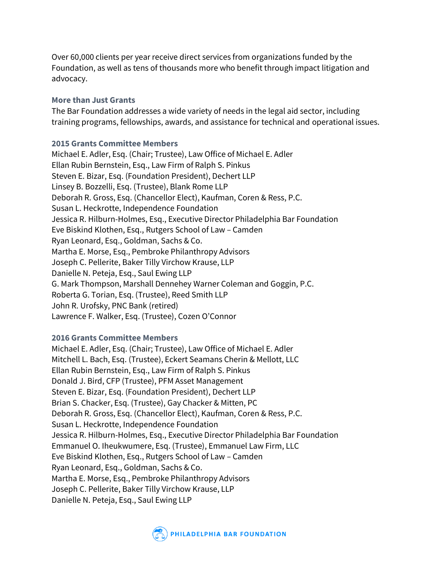Over 60,000 clients per year receive direct services from organizations funded by the Foundation, as well as tens of thousands more who benefit through impact litigation and advocacy.

# **More than Just Grants**

The Bar Foundation addresses a wide variety of needs in the legal aid sector, including training programs, fellowships, awards, and assistance for technical and operational issues.

# **2015 Grants Committee Members**

Michael E. Adler, Esq. (Chair; Trustee), Law Office of Michael E. Adler Ellan Rubin Bernstein, Esq., Law Firm of Ralph S. Pinkus Steven E. Bizar, Esq. (Foundation President), Dechert LLP Linsey B. Bozzelli, Esq. (Trustee), Blank Rome LLP Deborah R. Gross, Esq. (Chancellor Elect), Kaufman, Coren & Ress, P.C. Susan L. Heckrotte, Independence Foundation Jessica R. Hilburn-Holmes, Esq., Executive Director Philadelphia Bar Foundation Eve Biskind Klothen, Esq., Rutgers School of Law – Camden Ryan Leonard, Esq., Goldman, Sachs & Co. Martha E. Morse, Esq., Pembroke Philanthropy Advisors Joseph C. Pellerite, Baker Tilly Virchow Krause, LLP Danielle N. Peteja, Esq., Saul Ewing LLP G. Mark Thompson, Marshall Dennehey Warner Coleman and Goggin, P.C. Roberta G. Torian, Esq. (Trustee), Reed Smith LLP John R. Urofsky, PNC Bank (retired) Lawrence F. Walker, Esq. (Trustee), Cozen O'Connor

# **2016 Grants Committee Members**

Michael E. Adler, Esq. (Chair; Trustee), Law Office of Michael E. Adler Mitchell L. Bach, Esq. (Trustee), Eckert Seamans Cherin & Mellott, LLC Ellan Rubin Bernstein, Esq., Law Firm of Ralph S. Pinkus Donald J. Bird, CFP (Trustee), PFM Asset Management Steven E. Bizar, Esq. (Foundation President), Dechert LLP Brian S. Chacker, Esq. (Trustee), Gay Chacker & Mitten, PC Deborah R. Gross, Esq. (Chancellor Elect), Kaufman, Coren & Ress, P.C. Susan L. Heckrotte, Independence Foundation Jessica R. Hilburn-Holmes, Esq., Executive Director Philadelphia Bar Foundation Emmanuel O. Iheukwumere, Esq. (Trustee), Emmanuel Law Firm, LLC Eve Biskind Klothen, Esq., Rutgers School of Law – Camden Ryan Leonard, Esq., Goldman, Sachs & Co. Martha E. Morse, Esq., Pembroke Philanthropy Advisors Joseph C. Pellerite, Baker Tilly Virchow Krause, LLP Danielle N. Peteja, Esq., Saul Ewing LLP

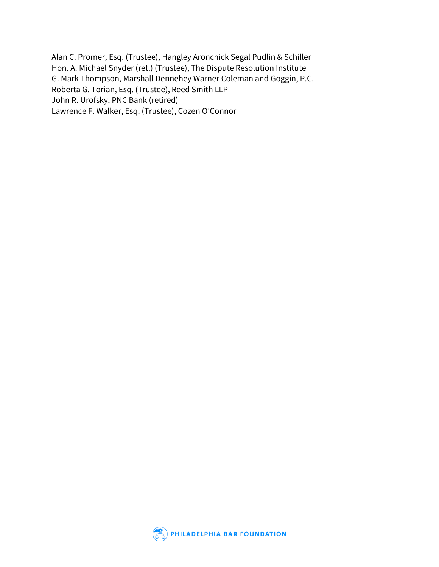Alan C. Promer, Esq. (Trustee), Hangley Aronchick Segal Pudlin & Schiller Hon. A. Michael Snyder (ret.) (Trustee), The Dispute Resolution Institute G. Mark Thompson, Marshall Dennehey Warner Coleman and Goggin, P.C. Roberta G. Torian, Esq. (Trustee), Reed Smith LLP John R. Urofsky, PNC Bank (retired) Lawrence F. Walker, Esq. (Trustee), Cozen O'Connor

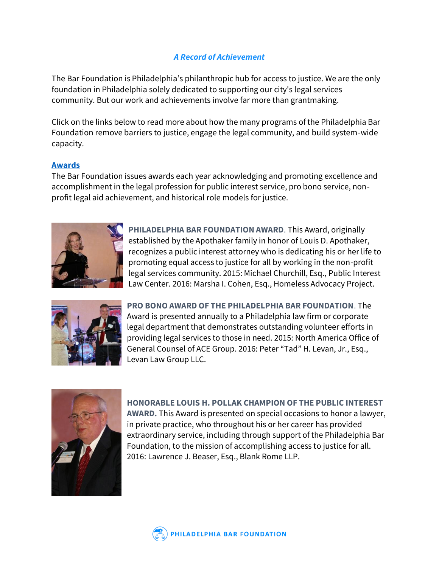# *A Record of Achievement*

<span id="page-8-0"></span>The Bar Foundation is Philadelphia's philanthropic hub for access to justice. We are the only foundation in Philadelphia solely dedicated to supporting our city's legal services community. But our work and achievements involve far more than grantmaking.

Click on the links below to read more about how the many programs of the Philadelphia Bar Foundation remove barriers to justice, engage the legal community, and build system-wide capacity.

# **[Awards](https://www.philabarfoundation.org/work/awards)**

The Bar Foundation issues awards each year acknowledging and promoting excellence and accomplishment in the legal profession for public interest service, pro bono service, nonprofit legal aid achievement, and historical role models for justice.



**PHILADELPHIA BAR FOUNDATION AWARD**. This Award, originally established by the Apothaker family in honor of Louis D. Apothaker, recognizes a public interest attorney who is dedicating his or her life to promoting equal access to justice for all by working in the non-profit legal services community. 2015: Michael Churchill, Esq., Public Interest Law Center. 2016: Marsha I. Cohen, Esq., Homeless Advocacy Project.



**PRO BONO AWARD OF THE PHILADELPHIA BAR FOUNDATION**. The Award is presented annually to a Philadelphia law firm or corporate legal department that demonstrates outstanding volunteer efforts in providing legal services to those in need. 2015: North America Office of General Counsel of ACE Group. 2016: Peter "Tad" H. Levan, Jr., Esq., Levan Law Group LLC.



**HONORABLE LOUIS H. POLLAK CHAMPION OF THE PUBLIC INTEREST AWARD.** This Award is presented on special occasions to honor a lawyer, in private practice, who throughout his or her career has provided extraordinary service, including through support of the Philadelphia Bar Foundation, to the mission of accomplishing access to justice for all. 2016: Lawrence J. Beaser, Esq., Blank Rome LLP.

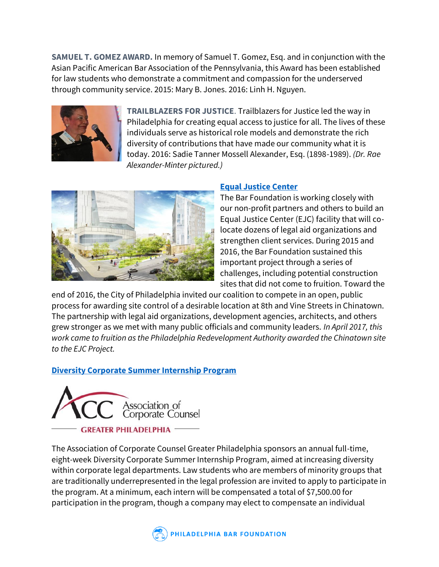**SAMUEL T. GOMEZ AWARD.** In memory of Samuel T. Gomez, Esq. and in conjunction with the Asian Pacific American Bar Association of the Pennsylvania, this Award has been established for law students who demonstrate a commitment and compassion for the underserved through community service. 2015: Mary B. Jones. 2016: Linh H. Nguyen.



**TRAILBLAZERS FOR JUSTICE**. Trailblazers for Justice led the way in Philadelphia for creating equal access to justice for all. The lives of these individuals serve as historical role models and demonstrate the rich diversity of contributions that have made our community what it is today. 2016: Sadie Tanner Mossell Alexander, Esq. (1898-1989). *(Dr. Rae Alexander-Minter pictured.)*



# **[Equal Justice Center](https://www.philabarfoundation.org/work/programs/equal-justice-center)**

The Bar Foundation is working closely with our non-profit partners and others to build an Equal Justice Center (EJC) facility that will colocate dozens of legal aid organizations and strengthen client services. During 2015 and 2016, the Bar Foundation sustained this important project through a series of challenges, including potential construction sites that did not come to fruition. Toward the

end of 2016, the City of Philadelphia invited our coalition to compete in an open, public process for awarding site control of a desirable location at 8th and Vine Streets in Chinatown. The partnership with legal aid organizations, development agencies, architects, and others grew stronger as we met with many public officials and community leaders. *In April 2017, this work came to fruition as the Philadelphia Redevelopment Authority awarded the Chinatown site to the EJC Project.*

# **[Diversity Corporate Summer Internship Program](https://www.philabarfoundation.org/work/programs/accgpa-diversity-corporate-internship-program)**



The Association of Corporate Counsel Greater Philadelphia sponsors an annual full-time, eight-week Diversity Corporate Summer Internship Program, aimed at increasing diversity within corporate legal departments. Law students who are members of minority groups that are traditionally underrepresented in the legal profession are invited to apply to participate in the program. At a minimum, each intern will be compensated a total of \$7,500.00 for participation in the program, though a company may elect to compensate an individual

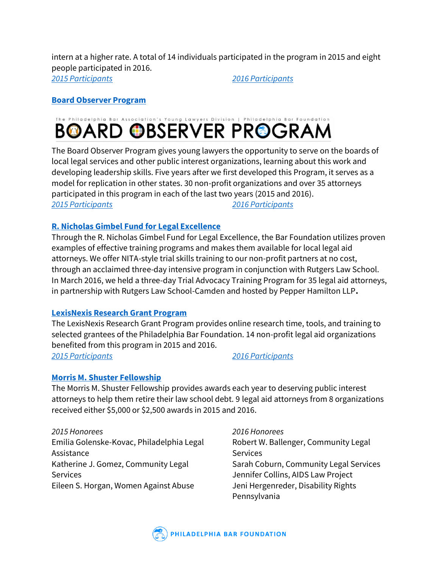intern at a higher rate. A total of 14 individuals participated in the program in 2015 and eight people participated in 2016.

*[2015 Participants](https://www.philabarfoundation.org/2015-accgpa-diversity-internship-program-participants#overlay-context=record-achievement) [2016 Participants](https://www.philabarfoundation.org/2016-accgpa-diversity-internship-program-participants#overlay-context=record-achievement)*

# **[Board Observer Program](https://www.philabarfoundation.org/work/programs/board-observer-program)**

# **BOARD OBSERVER PROGRAM**

The Board Observer Program gives young lawyers the opportunity to serve on the boards of local legal services and other public interest organizations, learning about this work and developing leadership skills. Five years after we first developed this Program, it serves as a model for replication in other states. 30 non-profit organizations and over 35 attorneys participated in this program in each of the last two years (2015 and 2016). *[2015 Participants](https://www.philabarfoundation.org/2015-board-observer-program-participants) [2016 Participants](https://www.philabarfoundation.org/2016-board-observer-program-participants)*

# **[R. Nicholas Gimbel Fund for Legal Excellence](https://www.philabarfoundation.org/work/programs/r-nicholas-gimbel-fund-legal-excellence)**

Through the R. Nicholas Gimbel Fund for Legal Excellence, the Bar Foundation utilizes proven examples of effective training programs and makes them available for local legal aid attorneys. We offer NITA-style trial skills training to our non-profit partners at no cost, through an acclaimed three-day intensive program in conjunction with Rutgers Law School. In March 2016, we held a three-day Trial Advocacy Training Program for 35 legal aid attorneys, in partnership with Rutgers Law School-Camden and hosted by Pepper Hamilton LLP**.**

# **[LexisNexis Research Grant Program](https://www.philabarfoundation.org/work/programs/lexisnexis-research-grant)**

The LexisNexis Research Grant Program provides online research time, tools, and training to selected grantees of the Philadelphia Bar Foundation. 14 non-profit legal aid organizations benefited from this program in 2015 and 2016. *[2015 Participants](https://www.philabarfoundation.org/2015-lexisnexis-grant-partners) [2016 Participants](https://www.philabarfoundation.org/2016-lexisnexis-grant-partners)*

# **[Morris M. Shuster Fellowship](https://www.philabarfoundation.org/work/programs/morris-m-shuster-public-interest-fellowship-program)**

The Morris M. Shuster Fellowship provides awards each year to deserving public interest attorneys to help them retire their law school debt. 9 legal aid attorneys from 8 organizations received either \$5,000 or \$2,500 awards in 2015 and 2016.

*2015 Honorees* Emilia Golenske-Kovac, Philadelphia Legal Assistance Katherine J. Gomez, Community Legal Services Eileen S. Horgan, Women Against Abuse

*2016 Honorees* Robert W. Ballenger, Community Legal **Services** Sarah Coburn, Community Legal Services Jennifer Collins, AIDS Law Project Jeni Hergenreder, Disability Rights Pennsylvania

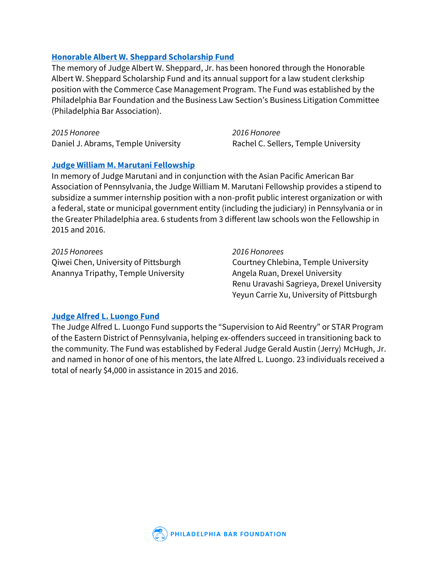# **[Honorable Albert W. Sheppard Scholarship Fund](https://www.philabarfoundation.org/work/programs/honorable-albert-w-sheppard-scholarship-fund)**

The memory of Judge Albert W. Sheppard, Jr. has been honored through the Honorable Albert W. Sheppard Scholarship Fund and its annual support for a law student clerkship position with the Commerce Case Management Program. The Fund was established by the Philadelphia Bar Foundation and the Business Law Section's Business Litigation Committee (Philadelphia Bar Association).

*2015 Honoree* Daniel J. Abrams, Temple University *2016 Honoree* Rachel C. Sellers, Temple University

# **[Judge William M. Marutani Fellowship](https://www.philabarfoundation.org/work/programs/judge-william-m-marutani-fellowship)**

In memory of Judge Marutani and in conjunction with the Asian Pacific American Bar Association of Pennsylvania, the Judge William M. Marutani Fellowship provides a stipend to subsidize a summer internship position with a non-profit public interest organization or with a federal, state or municipal government entity (including the judiciary) in Pennsylvania or in the Greater Philadelphia area. 6 students from 3 different law schools won the Fellowship in 2015 and 2016.

*2015 Honorees* Qiwei Chen, University of Pittsburgh Anannya Tripathy, Temple University *2016 Honorees* Courtney Chlebina, Temple University Angela Ruan, Drexel University Renu Uravashi Sagrieya, Drexel University Yeyun Carrie Xu, University of Pittsburgh

# **[Judge Alfred L. Luongo Fund](https://www.philabarfoundation.org/work/programs/judge-alfred-l-luongo-fund)**

The Judge Alfred L. Luongo Fund supports the "Supervision to Aid Reentry" or STAR Program of the Eastern District of Pennsylvania, helping ex-offenders succeed in transitioning back to the community. The Fund was established by Federal Judge Gerald Austin (Jerry) McHugh, Jr. and named in honor of one of his mentors, the late Alfred L. Luongo. 23 individuals received a total of nearly \$4,000 in assistance in 2015 and 2016.

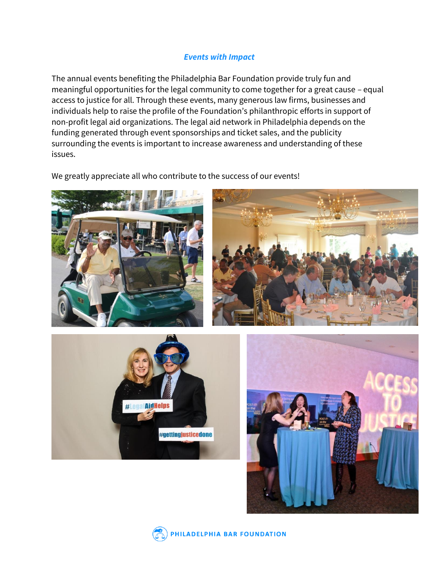# *Events with Impact*

<span id="page-12-0"></span>The annual events benefiting the Philadelphia Bar Foundation provide truly fun and meaningful opportunities for the legal community to come together for a great cause – equal access to justice for all. Through these events, many generous law firms, businesses and individuals help to raise the profile of the Foundation's philanthropic efforts in support of non-profit legal aid organizations. The legal aid network in Philadelphia depends on the funding generated through event sponsorships and ticket sales, and the publicity surrounding the events is important to increase awareness and understanding of these issues.

We greatly appreciate all who contribute to the success of our events!











PHILADELPHIA BAR FOUNDATION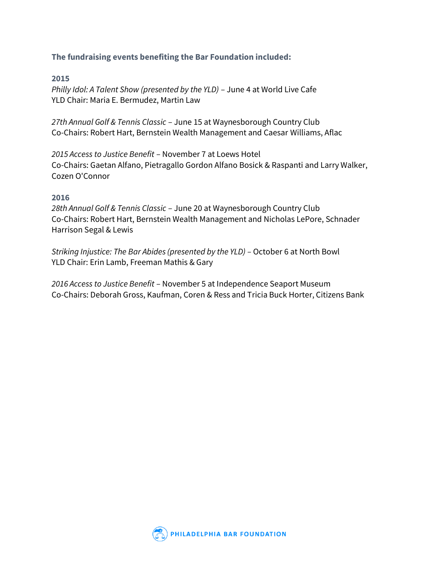# **The fundraising events benefiting the Bar Foundation included:**

# **2015**

*Philly Idol: A Talent Show (presented by the YLD)* – June 4 at World Live Cafe YLD Chair: Maria E. Bermudez, Martin Law

*27th Annual Golf & Tennis Classic* – June 15 at Waynesborough Country Club Co-Chairs: Robert Hart, Bernstein Wealth Management and Caesar Williams, Aflac

*2015 Access to Justice Benefit* – November 7 at Loews Hotel Co-Chairs: Gaetan Alfano, Pietragallo Gordon Alfano Bosick & Raspanti and Larry Walker, Cozen O'Connor

### **2016**

*28th Annual Golf & Tennis Classic* – June 20 at Waynesborough Country Club Co-Chairs: Robert Hart, Bernstein Wealth Management and Nicholas LePore, Schnader Harrison Segal & Lewis

*Striking Injustice: The Bar Abides (presented by the YLD) - October 6 at North Bowl* YLD Chair: Erin Lamb, Freeman Mathis & Gary

*2016 Access to Justice Benefit* – November 5 at Independence Seaport Museum Co-Chairs: Deborah Gross, Kaufman, Coren & Ress and Tricia Buck Horter, Citizens Bank

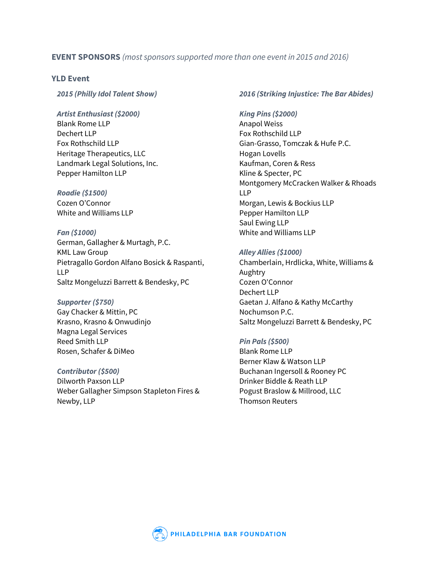# **EVENT SPONSORS** *(most sponsors supported more than one event in 2015 and 2016)*

#### **YLD Event**

*2015 (Philly Idol Talent Show)*

#### *Artist Enthusiast (\$2000)*

Blank Rome LLP Dechert LLP Fox Rothschild LLP Heritage Therapeutics, LLC Landmark Legal Solutions, Inc. Pepper Hamilton LLP

# *Roadie (\$1500)*

Cozen O'Connor White and Williams LLP

#### *Fan (\$1000)*

German, Gallagher & Murtagh, P.C. KML Law Group Pietragallo Gordon Alfano Bosick & Raspanti, LLP Saltz Mongeluzzi Barrett & Bendesky, PC

#### *Supporter (\$750)*

Gay Chacker & Mittin, PC Krasno, Krasno & Onwudinjo Magna Legal Services Reed Smith LLP Rosen, Schafer & DiMeo

#### *Contributor (\$500)*

Dilworth Paxson LLP Weber Gallagher Simpson Stapleton Fires & Newby, LLP

#### *2016 (Striking Injustice: The Bar Abides)*

#### *King Pins (\$2000)*

Anapol Weiss Fox Rothschild LLP Gian-Grasso, Tomczak & Hufe P.C. Hogan Lovells Kaufman, Coren & Ress Kline & Specter, PC Montgomery McCracken Walker & Rhoads LLP Morgan, Lewis & Bockius LLP Pepper Hamilton LLP Saul Ewing LLP White and Williams LLP

#### *Alley Allies (\$1000)*

Chamberlain, Hrdlicka, White, Williams & Aughtry Cozen O'Connor Dechert LLP Gaetan J. Alfano & Kathy McCarthy Nochumson P.C. Saltz Mongeluzzi Barrett & Bendesky, PC

#### *Pin Pals (\$500)*

Blank Rome LLP Berner Klaw & Watson LLP Buchanan Ingersoll & Rooney PC Drinker Biddle & Reath LLP Pogust Braslow & Millrood, LLC Thomson Reuters

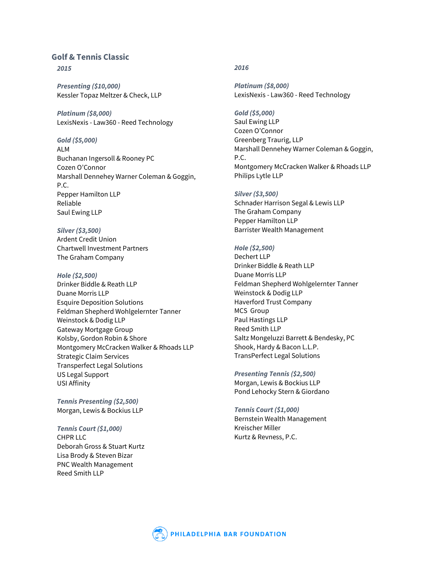# **Golf & Tennis Classic**

*2015*

*Presenting (\$10,000)* Kessler Topaz Meltzer & Check, LLP

*Platinum (\$8,000)* LexisNexis - Law360 - Reed Technology

*Gold (\$5,000)* ALM Buchanan Ingersoll & Rooney PC Cozen O'Connor Marshall Dennehey Warner Coleman & Goggin, P.C. Pepper Hamilton LLP Reliable Saul Ewing LLP

*Silver (\$3,500)* Ardent Credit Union Chartwell Investment Partners The Graham Company

*Hole (\$2,500)*

Drinker Biddle & Reath LLP Duane Morris LLP Esquire Deposition Solutions Feldman Shepherd Wohlgelernter Tanner Weinstock & Dodig LLP Gateway Mortgage Group Kolsby, Gordon Robin & Shore Montgomery McCracken Walker & Rhoads LLP Strategic Claim Services Transperfect Legal Solutions US Legal Support USI Affinity

*Tennis Presenting (\$2,500)* Morgan, Lewis & Bockius LLP

*Tennis Court (\$1,000)* CHPR LLC Deborah Gross & Stuart Kurtz Lisa Brody & Steven Bizar PNC Wealth Management Reed Smith LLP

#### *2016*

*Platinum (\$8,000)* LexisNexis - Law360 - Reed Technology

*Gold (\$5,000)* Saul Ewing LLP Cozen O'Connor Greenberg Traurig, LLP Marshall Dennehey Warner Coleman & Goggin, P.C. Montgomery McCracken Walker & Rhoads LLP Philips Lytle LLP

*Silver (\$3,500)* Schnader Harrison Segal & Lewis LLP The Graham Company Pepper Hamilton LLP Barrister Wealth Management

*Hole (\$2,500)* Dechert LLP Drinker Biddle & Reath LLP Duane Morris LLP Feldman Shepherd Wohlgelernter Tanner Weinstock & Dodig LLP Haverford Trust Company MCS Group Paul Hastings LLP Reed Smith LLP Saltz Mongeluzzi Barrett & Bendesky, PC Shook, Hardy & Bacon L.L.P. TransPerfect Legal Solutions

*Presenting Tennis (\$2,500)* Morgan, Lewis & Bockius LLP Pond Lehocky Stern & Giordano

*Tennis Court (\$1,000)* Bernstein Wealth Management Kreischer Miller Kurtz & Revness, P.C.

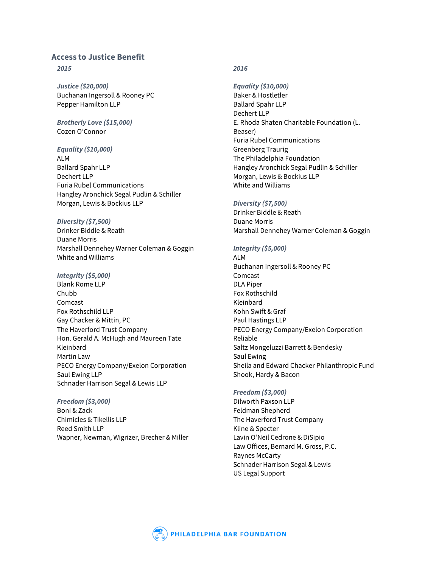#### **Access to Justice Benefit**

#### *2015*

*Justice (\$20,000)* Buchanan Ingersoll & Rooney PC Pepper Hamilton LLP

#### *Brotherly Love (\$15,000)* Cozen O'Connor

#### *Equality (\$10,000)*

ALM Ballard Spahr LLP Dechert LLP Furia Rubel Communications Hangley Aronchick Segal Pudlin & Schiller Morgan, Lewis & Bockius LLP

#### *Diversity (\$7,500)*

Drinker Biddle & Reath Duane Morris Marshall Dennehey Warner Coleman & Goggin White and Williams

#### *Integrity (\$5,000)*

Blank Rome LLP Chubb Comcast Fox Rothschild LLP Gay Chacker & Mittin, PC The Haverford Trust Company Hon. Gerald A. McHugh and Maureen Tate Kleinbard Martin Law PECO Energy Company/Exelon Corporation Saul Ewing LLP Schnader Harrison Segal & Lewis LLP

#### *Freedom (\$3,000)* Boni & Zack Chimicles & Tikellis LLP Reed Smith LLP Wapner, Newman, Wigrizer, Brecher & Miller

#### *2016*

*Equality (\$10,000)* Baker & Hostletler Ballard Spahr LLP Dechert LLP E. Rhoda Shaten Charitable Foundation (L. Beaser) Furia Rubel Communications Greenberg Traurig The Philadelphia Foundation Hangley Aronchick Segal Pudlin & Schiller Morgan, Lewis & Bockius LLP White and Williams

#### *Diversity (\$7,500)*

Drinker Biddle & Reath Duane Morris Marshall Dennehey Warner Coleman & Goggin

#### *Integrity (\$5,000)*

ALM Buchanan Ingersoll & Rooney PC Comcast DLA Piper Fox Rothschild Kleinbard Kohn Swift & Graf Paul Hastings LLP PECO Energy Company/Exelon Corporation Reliable Saltz Mongeluzzi Barrett & Bendesky Saul Ewing Sheila and Edward Chacker Philanthropic Fund Shook, Hardy & Bacon

#### *Freedom (\$3,000)*

Dilworth Paxson LLP Feldman Shepherd The Haverford Trust Company Kline & Specter Lavin O'Neil Cedrone & DiSipio Law Offices, Bernard M. Gross, P.C. Raynes McCarty Schnader Harrison Segal & Lewis US Legal Support

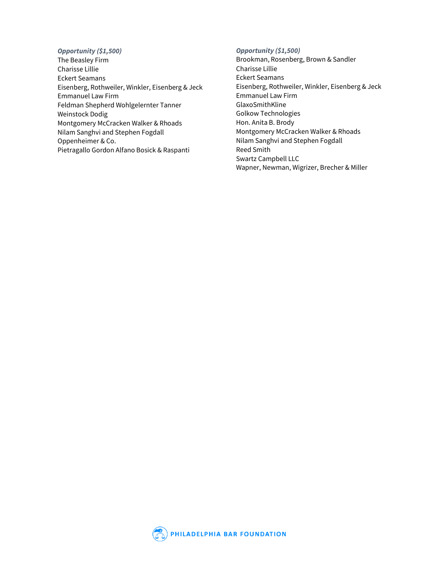#### *Opportunity (\$1,500)*

The Beasley Firm Charisse Lillie Eckert Seamans Eisenberg, Rothweiler, Winkler, Eisenberg & Jeck Emmanuel Law Firm Feldman Shepherd Wohlgelernter Tanner Weinstock Dodig Montgomery McCracken Walker & Rhoads Nilam Sanghvi and Stephen Fogdall Oppenheimer & Co. Pietragallo Gordon Alfano Bosick & Raspanti

#### *Opportunity (\$1,500)*

Brookman, Rosenberg, Brown & Sandler Charisse Lillie Eckert Seamans Eisenberg, Rothweiler, Winkler, Eisenberg & Jeck Emmanuel Law Firm GlaxoSmithKline Golkow Technologies Hon. Anita B. Brody Montgomery McCracken Walker & Rhoads Nilam Sanghvi and Stephen Fogdall Reed Smith Swartz Campbell LLC Wapner, Newman, Wigrizer, Brecher & Miller

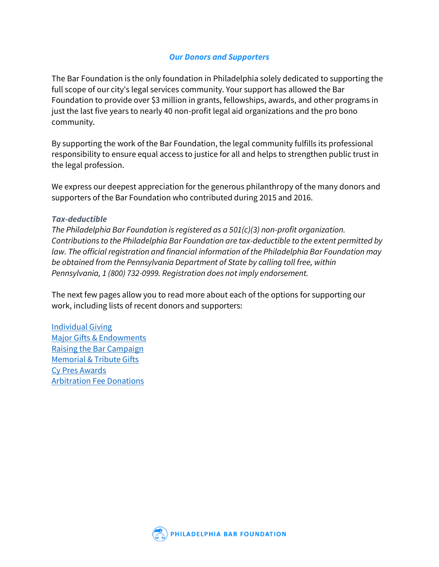# *Our Donors and Supporters*

<span id="page-18-0"></span>The Bar Foundation is the only foundation in Philadelphia solely dedicated to supporting the full scope of our city's legal services community. Your support has allowed the Bar Foundation to provide over \$3 million in grants, fellowships, awards, and other programs in just the last five years to nearly 40 non-profit legal aid organizations and the pro bono community.

By supporting the work of the Bar Foundation, the legal community fulfills its professional responsibility to ensure equal access to justice for all and helps to strengthen public trust in the legal profession.

We express our deepest appreciation for the generous philanthropy of the many donors and supporters of the Bar Foundation who contributed during 2015 and 2016.

# *Tax-deductible*

*The Philadelphia Bar Foundation is registered as a 501(c)(3) non-profit organization. Contributions to the Philadelphia Bar Foundation are tax-deductible to the extent permitted by law. The official registration and financial information of the Philadelphia Bar Foundation may be obtained from the Pennsylvania Department of State by calling toll free, within Pennsylvania, 1 (800) 732-0999. Registration does not imply endorsement.*

The next few pages allow you to read more about each of the options for supporting our work, including lists of recent donors and supporters:

[Individual Giving](#page-19-0) [Major Gifts & Endowments](#page-20-0) [Raising the Bar Campaign](#page-21-0) [Memorial & Tribute Gifts](#page-21-1) [Cy Pres Awards](#page-22-0) [Arbitration Fee Donations](#page-22-1)

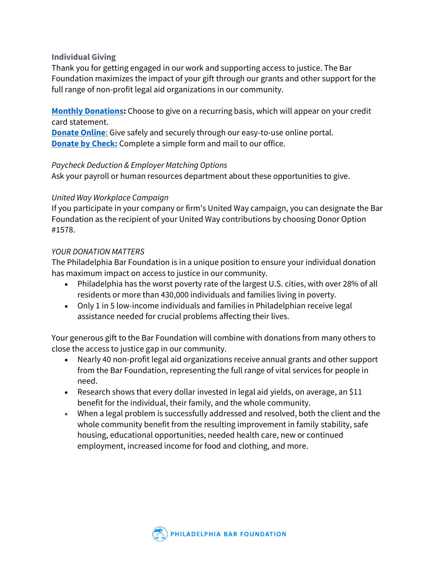# <span id="page-19-0"></span>**Individual Giving**

Thank you for getting engaged in our work and supporting access to justice. The Bar Foundation maximizes the impact of your gift through our grants and other support for the full range of non-profit legal aid organizations in our community.

**[Monthly Donations:](https://www.philabarfoundation.org/donate)** Choose to give on a recurring basis, which will appear on your credit card statement.

**[Donate Online](https://www.philabarfoundation.org/donate?campaign_id=7014100000137gJAAQ)**: Give safely and securely through our easy-to-use online portal. **[Donate by Check:](https://www.philabarfoundation.org/sites/default/files/2017_DONATION_FORM_for_Web_4-25-17.pdf)** Complete a simple form and mail to our office.

# *Paycheck Deduction & Employer Matching Options*

Ask your payroll or human resources department about these opportunities to give.

# *United Way Workplace Campaign*

If you participate in your company or firm's United Way campaign, you can designate the Bar Foundation as the recipient of your United Way contributions by choosing Donor Option #1578.

# *YOUR DONATION MATTERS*

The Philadelphia Bar Foundation is in a unique position to ensure your individual donation has maximum impact on access to justice in our community.

- Philadelphia has the worst poverty rate of the largest U.S. cities, with over 28% of all residents or more than 430,000 individuals and families living in poverty.
- Only 1 in 5 low-income individuals and families in Philadelphian receive legal assistance needed for crucial problems affecting their lives.

Your generous gift to the Bar Foundation will combine with donations from many others to close the access to justice gap in our community.

- Nearly 40 non-profit legal aid organizations receive annual grants and other support from the Bar Foundation, representing the full range of vital services for people in need.
- Research shows that every dollar invested in legal aid yields, on average, an \$11 benefit for the individual, their family, and the whole community.
- When a legal problem is successfully addressed and resolved, both the client and the whole community benefit from the resulting improvement in family stability, safe housing, educational opportunities, needed health care, new or continued employment, increased income for food and clothing, and more.

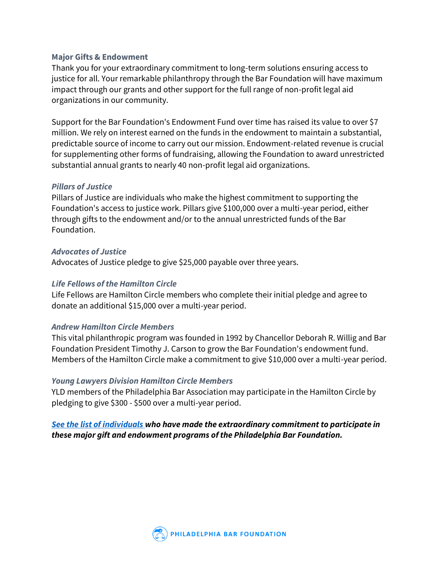# <span id="page-20-0"></span>**Major Gifts & Endowment**

Thank you for your extraordinary commitment to long-term solutions ensuring access to justice for all. Your remarkable philanthropy through the Bar Foundation will have maximum impact through our grants and other support for the full range of non-profit legal aid organizations in our community.

Support for the Bar Foundation's Endowment Fund over time has raised its value to over \$7 million. We rely on interest earned on the funds in the endowment to maintain a substantial, predictable source of income to carry out our mission. Endowment-related revenue is crucial for supplementing other forms of fundraising, allowing the Foundation to award unrestricted substantial annual grants to nearly 40 non-profit legal aid organizations.

# *Pillars of Justice*

Pillars of Justice are individuals who make the highest commitment to supporting the Foundation's access to justice work. Pillars give \$100,000 over a multi-year period, either through gifts to the endowment and/or to the annual unrestricted funds of the Bar Foundation.

# *Advocates of Justice*

Advocates of Justice pledge to give \$25,000 payable over three years.

# *Life Fellows of the Hamilton Circle*

Life Fellows are Hamilton Circle members who complete their initial pledge and agree to donate an additional \$15,000 over a multi-year period.

# *Andrew Hamilton Circle Members*

This vital philanthropic program was founded in 1992 by Chancellor Deborah R. Willig and Bar Foundation President Timothy J. Carson to grow the Bar Foundation's endowment fund. Members of the Hamilton Circle make a commitment to give \$10,000 over a multi-year period.

# *Young Lawyers Division Hamilton Circle Members*

YLD members of the Philadelphia Bar Association may participate in the Hamilton Circle by pledging to give \$300 - \$500 over a multi-year period.

# *[See the list of individuals](https://www.philabarfoundation.org/major-gifts-endowment-donors) who have made the extraordinary commitment to participate in these major gift and endowment programs of the Philadelphia Bar Foundation.*

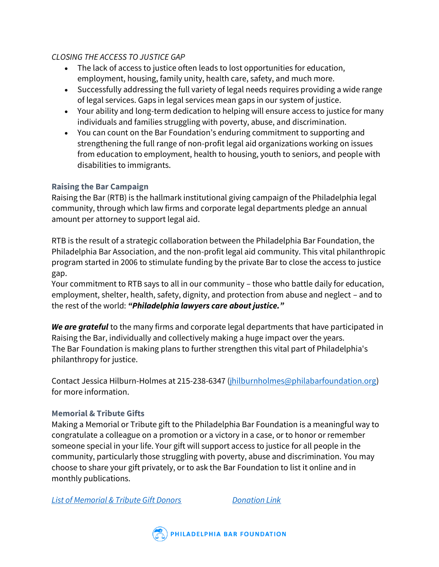# *CLOSING THE ACCESS TO JUSTICE GAP*

- The lack of access to justice often leads to lost opportunities for education, employment, housing, family unity, health care, safety, and much more.
- Successfully addressing the full variety of legal needs requires providing a wide range of legal services. Gaps in legal services mean gaps in our system of justice.
- Your ability and long-term dedication to helping will ensure access to justice for many individuals and families struggling with poverty, abuse, and discrimination.
- You can count on the Bar Foundation's enduring commitment to supporting and strengthening the full range of non-profit legal aid organizations working on issues from education to employment, health to housing, youth to seniors, and people with disabilities to immigrants.

# <span id="page-21-0"></span>**Raising the Bar Campaign**

Raising the Bar (RTB) is the hallmark institutional giving campaign of the Philadelphia legal community, through which law firms and corporate legal departments pledge an annual amount per attorney to support legal aid.

RTB is the result of a strategic collaboration between the Philadelphia Bar Foundation, the Philadelphia Bar Association, and the non-profit legal aid community. This vital philanthropic program started in 2006 to stimulate funding by the private Bar to close the access to justice gap.

Your commitment to RTB says to all in our community – those who battle daily for education, employment, shelter, health, safety, dignity, and protection from abuse and neglect – and to the rest of the world: *"Philadelphia lawyers care about justice."*

*We are grateful* to the many firms and corporate legal departments that have participated in Raising the Bar, individually and collectively making a huge impact over the years. The Bar Foundation is making plans to further strengthen this vital part of Philadelphia's philanthropy for justice.

Contact Jessica Hilburn-Holmes at 215-238-6347 [\(jhilburnholmes@philabarfoundation.org\)](mailto:jhilburnholmes@philabarfoundation.org) for more information.

# <span id="page-21-1"></span>**Memorial & Tribute Gifts**

Making a Memorial or Tribute gift to the Philadelphia Bar Foundation is a meaningful way to congratulate a colleague on a promotion or a victory in a case, or to honor or remember someone special in your life. Your gift will support access to justice for all people in the community, particularly those struggling with poverty, abuse and discrimination. You may choose to share your gift privately, or to ask the Bar Foundation to list it online and in monthly publications.

*[List of Memorial & Tribute Gift Donors](https://www.philabarfoundation.org/memorial-tribute-gifts) [Donation Link](https://www.philabarfoundation.org/donate?campaign_id=7014100000137fuAAA)*

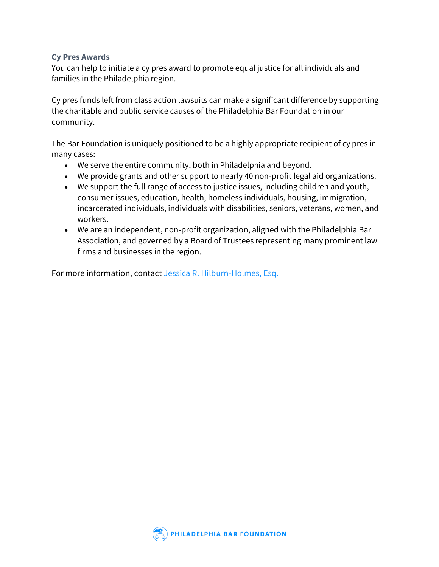# <span id="page-22-0"></span>**Cy Pres Awards**

You can help to initiate a cy pres award to promote equal justice for all individuals and families in the Philadelphia region.

Cy pres funds left from class action lawsuits can make a significant difference by supporting the charitable and public service causes of the Philadelphia Bar Foundation in our community.

The Bar Foundation is uniquely positioned to be a highly appropriate recipient of cy pres in many cases:

- We serve the entire community, both in Philadelphia and beyond.
- We provide grants and other support to nearly 40 non-profit legal aid organizations.
- We support the full range of access to justice issues, including children and youth, consumer issues, education, health, homeless individuals, housing, immigration, incarcerated individuals, individuals with disabilities, seniors, veterans, women, and workers.
- We are an independent, non-profit organization, aligned with the Philadelphia Bar Association, and governed by a Board of Trustees representing many prominent law firms and businesses in the region.

<span id="page-22-1"></span>For more information, contact [Jessica R. Hilburn-Holmes, Esq.](https://www.philabarfoundation.org/staff/jessica-r-hilburn-holmes-esq)

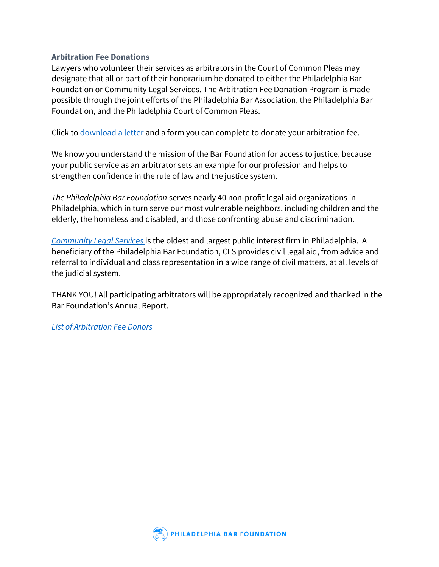# **Arbitration Fee Donations**

Lawyers who volunteer their services as arbitrators in the Court of Common Pleas may designate that all or part of their honorarium be donated to either the Philadelphia Bar Foundation or Community Legal Services. The Arbitration Fee Donation Program is made possible through the joint efforts of the Philadelphia Bar Association, the Philadelphia Bar Foundation, and the Philadelphia Court of Common Pleas.

Click to [download a letter](https://www.philabarfoundation.org/sites/default/files/17.1.31_Arbitration_Letter-With_new_signatures_and_logos.pdf) and a form you can complete to donate your arbitration fee.

We know you understand the mission of the Bar Foundation for access to justice, because your public service as an arbitrator sets an example for our profession and helps to strengthen confidence in the rule of law and the justice system.

*The Philadelphia Bar Foundation* serves nearly 40 non-profit legal aid organizations in Philadelphia, which in turn serve our most vulnerable neighbors, including children and the elderly, the homeless and disabled, and those confronting abuse and discrimination.

*[Community Legal Services](https://www.philabarfoundation.org/grantees/community-legal-services-cls)* is the oldest and largest public interest firm in Philadelphia. A beneficiary of the Philadelphia Bar Foundation, CLS provides civil legal aid, from advice and referral to individual and class representation in a wide range of civil matters, at all levels of the judicial system.

THANK YOU! All participating arbitrators will be appropriately recognized and thanked in the Bar Foundation's Annual Report.

<span id="page-23-0"></span>*[List of Arbitration Fee Donors](https://www.philabarfoundation.org/arbitration-fee-donors)*

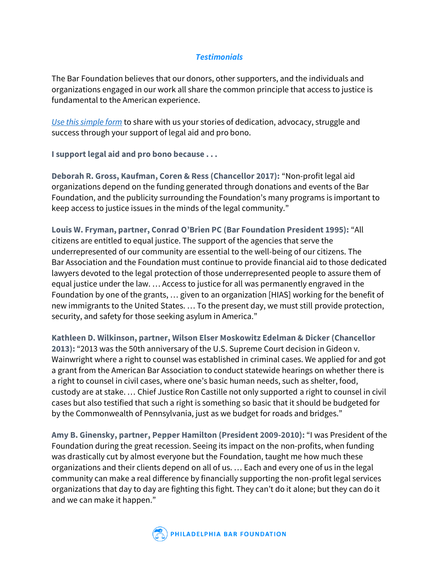# *Testimonials*

The Bar Foundation believes that our donors, other supporters, and the individuals and organizations engaged in our work all share the common principle that access to justice is fundamental to the American experience.

*[Use this simple form](https://www.philabarfoundation.org/support/i-support-legal-aid-pro-bono-because)* to share with us your stories of dedication, advocacy, struggle and success through your support of legal aid and pro bono.

**I support legal aid and pro bono because . . .**

**Deborah R. Gross, Kaufman, Coren & Ress (Chancellor 2017):** "Non-profit legal aid organizations depend on the funding generated through donations and events of the Bar Foundation, and the publicity surrounding the Foundation's many programs is important to keep access to justice issues in the minds of the legal community."

**Louis W. Fryman, partner, Conrad O'Brien PC (Bar Foundation President 1995):** "All citizens are entitled to equal justice. The support of the agencies that serve the underrepresented of our community are essential to the well-being of our citizens. The Bar Association and the Foundation must continue to provide financial aid to those dedicated lawyers devoted to the legal protection of those underrepresented people to assure them of equal justice under the law. … Access to justice for all was permanently engraved in the Foundation by one of the grants, … given to an organization [HIAS] working for the benefit of new immigrants to the United States. … To the present day, we must still provide protection, security, and safety for those seeking asylum in America."

**Kathleen D. Wilkinson, partner, Wilson Elser Moskowitz Edelman & Dicker (Chancellor 2013):** "2013 was the 50th anniversary of the U.S. Supreme Court decision in Gideon v. Wainwright where a right to counsel was established in criminal cases. We applied for and got a grant from the American Bar Association to conduct statewide hearings on whether there is a right to counsel in civil cases, where one's basic human needs, such as shelter, food, custody are at stake. … Chief Justice Ron Castille not only supported a right to counsel in civil cases but also testified that such a right is something so basic that it should be budgeted for by the Commonwealth of Pennsylvania, just as we budget for roads and bridges."

**Amy B. Ginensky, partner, Pepper Hamilton (President 2009-2010):** "I was President of the Foundation during the great recession. Seeing its impact on the non-profits, when funding was drastically cut by almost everyone but the Foundation, taught me how much these organizations and their clients depend on all of us. … Each and every one of us in the legal community can make a real difference by financially supporting the non-profit legal services organizations that day to day are fighting this fight. They can't do it alone; but they can do it and we can make it happen."